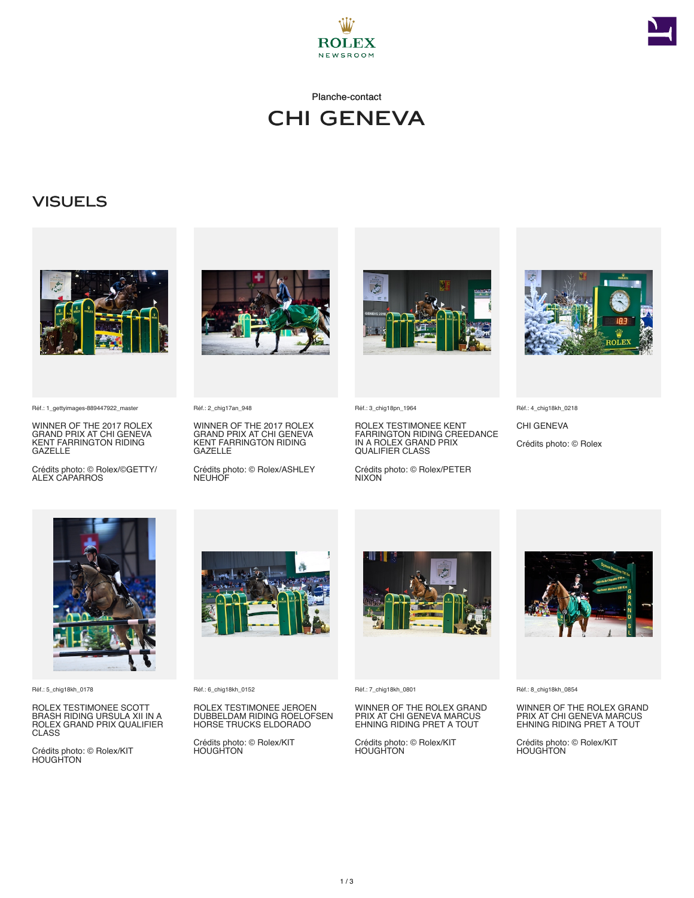

Planche-contact



### **VISUELS**



Réf.: 1\_gettyimages-889447922\_master

WINNER OF THE 2017 ROLEX GRAND PRIX AT CHI GENEVA KENT FARRINGTON RIDING GAZELLE

Crédits photo: © Rolex/©GETTY/ ALEX CAPARROS



Réf.: 2\_chig17an\_948

WINNER OF THE 2017 ROLEX GRAND PRIX AT CHI GENEVA KENT FARRINGTON RIDING GAZELLE

Crédits photo: © Rolex/ASHLEY **NEUHOF** 



Réf.: 3\_chig18pn\_1964

ROLEX TESTIMONEE KENT FARRINGTON RIDING CREEDANCE IN A ROLEX GRAND PRIX QUALIFIER CLASS

Crédits photo: © Rolex/PETER NIXON



Réf.: 4\_chig18kh\_0218

CHI GENEVA Crédits photo: © Rolex



Réf.: 5\_chig18kh\_0178

ROLEX TESTIMONEE SCOTT BRASH RIDING URSULA XII IN A ROLEX GRAND PRIX QUALIFIER CLASS

Crédits photo: © Rolex/KIT HOUGHTON



Réf.: 6\_chig18kh\_0152

ROLEX TESTIMONEE JEROEN DUBBELDAM RIDING ROELOFSEN HORSE TRUCKS ELDORADO

Crédits photo: © Rolex/KIT HOUGHTON



Réf.: 7\_chig18kh\_0801

WINNER OF THE ROLEX GRAND PRIX AT CHI GENEVA MARCUS EHNING RIDING PRET A TOUT

Crédits photo: © Rolex/KIT HOUGHTON



Réf.: 8\_chig18kh\_0854

WINNER OF THE ROLEX GRAND PRIX AT CHI GENEVA MARCUS EHNING RIDING PRET A TOUT

Crédits photo: © Rolex/KIT HOUGHTON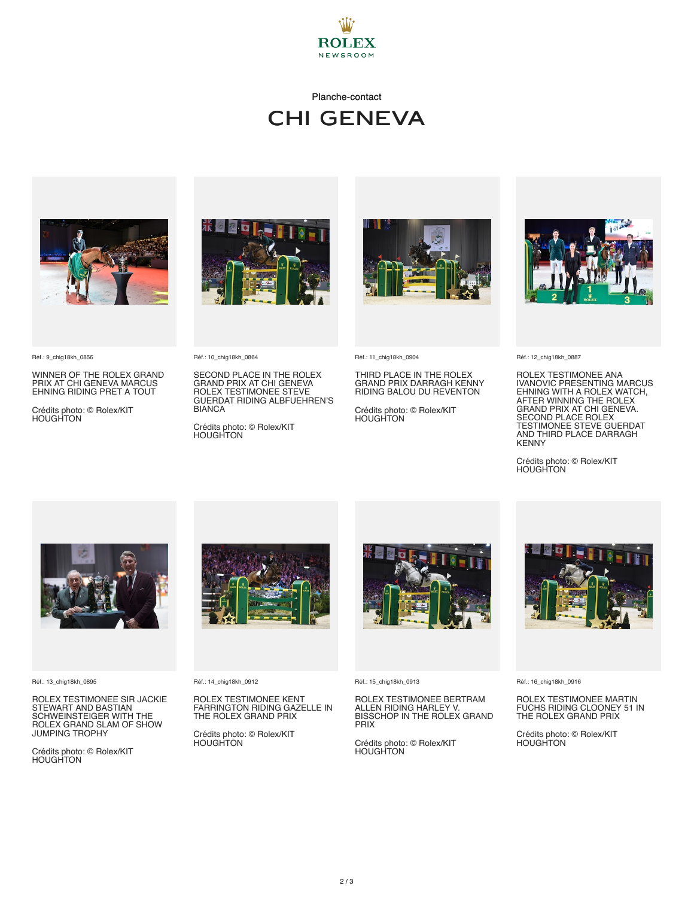

#### Planche-contact

# CHI GENEVA



Réf.: 9\_chig18kh\_0856

WINNER OF THE ROLEX GRAND PRIX AT CHI GENEVA MARCUS EHNING RIDING PRET A TOUT

Crédits photo: © Rolex/KIT HOUGHTON



SECOND PLACE IN THE ROLEX GRAND PRIX AT CHI GENEVA ROLEX TESTIMONEE STEVE GUERDAT RIDING ALBFUEHREN'S

Crédits photo: © Rolex/KIT HOUGHTON

Réf.: 10\_chig18kh\_0864

BIANCA



Réf.: 11\_chig18kh\_0904

THIRD PLACE IN THE ROLEX GRAND PRIX DARRAGH KENNY RIDING BALOU DU REVENTON

Crédits photo: © Rolex/KIT HOUGHTON



Réf.: 12\_chig18kh\_0887

ROLEX TESTIMONEE ANA IVANOVIC PRESENTING MARCUS EHNING WITH A ROLEX WATCH,<br>AFTER WINNING THE ROLEX<br>GRAND PRIX AT CHI GENEVA.<br>SECOND PLACE ROLEX<br>TESTIMONEE STEVE GUERDAT<br>AND THIRD PLACE DARRAGH **KENNY** 

Crédits photo: © Rolex/KIT **HOUGHTON** 



Réf.: 13\_chig18kh\_0895

ROLEX TESTIMONEE SIR JACKIE STEWART AND BASTIAN SCHWEINSTEIGER WITH THE ROLEX GRAND SLAM OF SHOW JUMPING TROPHY

Crédits photo: © Rolex/KIT **HOUGHTON** 



Réf.: 14\_chig18kh\_0912

ROLEX TESTIMONEE KENT FARRINGTON RIDING GAZELLE IN THE ROLEX GRAND PRIX

Crédits photo: © Rolex/KIT HOUGHTON



Réf.: 15\_chig18kh\_0913

ROLEX TESTIMONEE BERTRAM ALLEN RIDING HARLEY V. BISSCHOP IN THE ROLEX GRAND PRIX

Crédits photo: © Rolex/KIT **HOUGHTON** 



Réf.: 16\_chig18kh\_0916

ROLEX TESTIMONEE MARTIN FUCHS RIDING CLOONEY 51 IN THE ROLEX GRAND PRIX

Crédits photo: © Rolex/KIT HOUGHTON